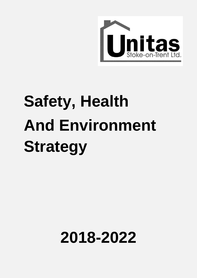

# **Safety, Health And Environment Strategy**

## **2018-2022**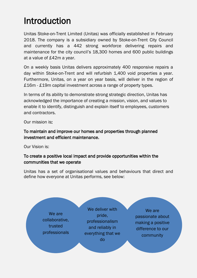### Introduction

Unitas Stoke-on-Trent Limited (Unitas) was officially established in February 2018. The company is a subsidiary owned by Stoke-on-Trent City Council and currently has a 442 strong workforce delivering repairs and maintenance for the city council's 18,300 homes and 600 public buildings at a value of £42m a year.

On a weekly basis Unitas delivers approximately 400 responsive repairs a day within Stoke-on-Trent and will refurbish 1,400 void properties a year. Furthermore, Unitas, on a year on year basis, will deliver in the region of £16m - £19m capital investment across a range of property types.

In terms of its ability to demonstrate strong strategic direction, Unitas has acknowledged the importance of creating a mission, vision, and values to enable it to identify, distinguish and explain itself to employees, customers and contractors.

Our mission is:

To maintain and improve our homes and properties through planned investment and efficient maintenance.

Our Vision is:

#### To create a positive local impact and provide opportunities within the communities that we operate

Unitas has a set of organisational values and behaviours that direct and define how everyone at Unitas performs, see below:

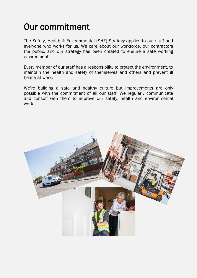## Our commitment

The Safety, Health & Environmental (SHE) Strategy applies to our staff and everyone who works for us. We care about our workforce, our contractors the public, and our strategy has been created to ensure a safe working environment.

Every member of our staff has a responsibility to protect the environment, to maintain the health and safety of themselves and others and prevent ill health at work.

We're building a safe and healthy culture but improvements are only possible with the commitment of all our staff. We regularly communicate and consult with them to improve our safety, health and environmental work.

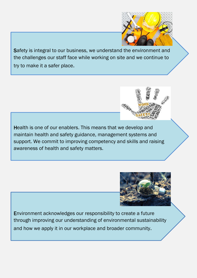

Safety is integral to our business, we understand the environment and the challenges our staff face while working on site and we continue to try to make it a safer place.

l

 $\overline{a}$ 

֦

Ī

 Health is one of our enablers. This means that we develop and maintain health and safety guidance, management systems and support. We commit to improving competency and skills and raising  $\overline{\phantom{a}}$ J awareness of health and safety matters.



 Environment acknowledges our responsibility to create a future j  $\overline{a}$  and how we apply it in our workplace and broader community. through improving our understanding of environmental sustainability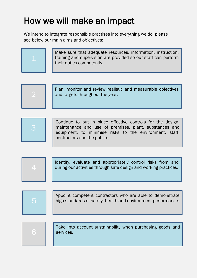## How we will make an impact

We intend to integrate responsible practises into everything we do; please see below our main aims and objectives:

|  | Make sure that adequate resources, information, instruction,<br>training and supervision are provided so our staff can perform<br>their duties competently. |
|--|-------------------------------------------------------------------------------------------------------------------------------------------------------------|
|--|-------------------------------------------------------------------------------------------------------------------------------------------------------------|





Identify, evaluate and appropriately control risks from and during our activities through safe design and working practices.



 $\Delta$ 

Appoint competent contractors who are able to demonstrate high standards of safety, health and environment performance.



Take into account sustainability when purchasing goods and services.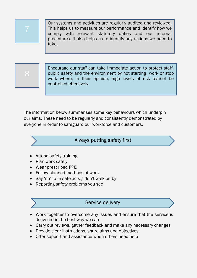

Our systems and activities are regularly audited and reviewed. This helps us to measure our performance and identify how we comply with relevant statutory duties and our internal procedures. It also helps us to identify any actions we need to take.



Encourage our staff can take immediate action to protect staff, public safety and the environment by not starting work or stop work where, in their opinion, high levels of risk cannot be controlled effectively.

The information below summarises some key behaviours which underpin our aims. These need to be regularly and consistently demonstrated by everyone in order to safeguard our workforce and customers.



- Attend safety training
- Plan work safely
- Wear prescribed PPE
- Follow planned methods of work
- Say 'no' to unsafe acts / don't walk on by
- Reporting safety problems you see

#### Service delivery

- Work together to overcome any issues and ensure that the service is delivered in the best way we can
- Carry out reviews, gather feedback and make any necessary changes
- Provide clear instructions, share aims and objectives
- Offer support and assistance when others need help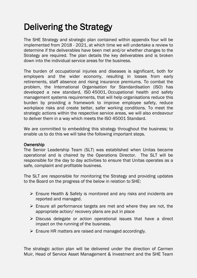## Delivering the Strategy

The SHE Strategy and strategic plan contained within appendix four will be implemented from 2018 - 2021, at which time we will undertake a review to determine if the deliverables have been met and/or whether changes to the Strategy are required. The plan details the key deliverables and is broken down into the individual service areas for the business.

The burden of occupational injuries and diseases is significant, both for employers and the wider economy, resulting in losses from early retirements, staff absence and rising insurance premiums. To combat the problem, the International Organisation for Standardisation (ISO) has developed a new standard, ISO 45001, Occupational health and safety management systems requirements, that will help organisations reduce this burden by providing a framework to improve employee safety, reduce workplace risks and create better, safer working conditions. To meet the strategic actions within the respective service areas, we will also endeavour to deliver them in a way which meets the ISO 45001 Standard.

We are committed to embedding this strategy throughout the business; to enable us to do this we will take the following important steps.

#### **Ownership**

The Senior Leadership Team (SLT) was established when Unitas became operational and is chaired by the Operations Director. The SLT will be responsible for the day to day activities to ensure that Unitas operates as a safe, complaint and profitable business.

The SLT are responsible for monitoring the Strategy and providing updates to the Board on the progress of the below in relation to SHE:

- $\triangleright$  Ensure Health & Safety is monitored and any risks and incidents are reported and managed.
- $\triangleright$  Ensure all performance targets are met and where they are not, the appropriate action/ recovery plans are put in place
- $\triangleright$  Discuss delegate or action operational issues that have a direct impact on the running of the business.
- $\triangleright$  Ensure HR matters are raised and managed accordingly.

The strategic action plan will be delivered under the direction of Carmen Muir, Head of Service Asset Management & Investment and the SHE Team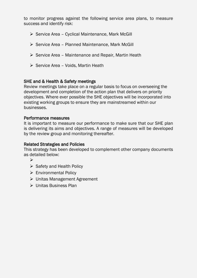to monitor progress against the following service area plans, to measure success and identify risk:

- $\triangleright$  Service Area Cyclical Maintenance, Mark McGill
- $\triangleright$  Service Area Planned Maintenance, Mark McGill
- $\triangleright$  Service Area Maintenance and Repair, Martin Heath
- $\triangleright$  Service Area Voids, Martin Heath

#### SHE and & Health & Safety meetings

Review meetings take place on a regular basis to focus on overseeing the development and completion of the action plan that delivers on priority objectives. Where ever possible the SHE objectives will be incorporated into existing working groups to ensure they are mainstreamed within our businesses.

#### Performance measures

It is important to measure our performance to make sure that our SHE plan is delivering its aims and objectives. A range of measures will be developed by the review group and monitoring thereafter.

#### Related Strategies and Policies

This strategy has been developed to complement other company documents as detailed below:

- $\blacktriangleright$
- $\triangleright$  Safety and Health Policy
- ▶ Environmental Policy
- Unitas Management Agreement
- Unitas Business Plan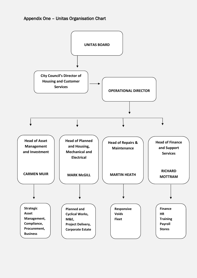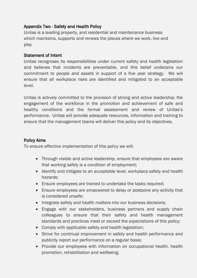#### Appendix Two - Safety and Health Policy

Unitas is a leading property, and residential and maintenance business which maintains, supports and renews the places where we work, live and play.

#### Statement of Intent

Unitas recognises its responsibilities under current safety and health legislation and believes that incidents are preventable, and this belief underpins our commitment to people and assets in support of a five year strategy. We will ensure that all workplace risks are identified and mitigated to an acceptable level.

Unitas is actively committed to the provision of strong and active leadership; the engagement of the workforce in the promotion and achievement of safe and healthy conditions and the formal assessment and review of Unitas's performance. Unitas will provide adequate resources, information and training to ensure that the management teams will deliver this policy and its objectives.

#### Policy Aims

To ensure effective implementation of this policy we will:

- Through visible and active leadership, ensure that employees are aware that working safely is a condition of employment;
- Identify and mitigate to an acceptable level, workplace safety and health hazards;
- Ensure employees are trained to undertake the tasks required;
- Ensure employees are empowered to delay or postpone any activity that is considered unsafe;
- Integrate safety and health matters into our business decisions;
- Engage with our stakeholders, business partners and supply chain colleagues to ensure that their safety and health management standards and practices meet or exceed the expectations of this policy;
- Comply with applicable safety and health legislation;
- Strive for continual improvement in safety and health performance and publicity report our performance on a regular basis;
- Provide our employees with information on occupational health, health promotion, rehabilitation and wellbeing;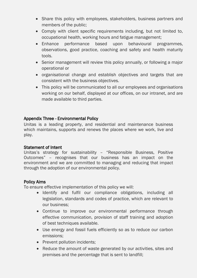- Share this policy with employees, stakeholders, business partners and members of the public;
- Comply with client specific requirements including, but not limited to, occupational health, working hours and fatigue management;
- Enhance performance based upon behavioural programmes, observations, good practice, coaching and safety and health maturity tools.
- Senior management will review this policy annually, or following a major operational or
- organisational change and establish objectives and targets that are consistent with the business objectives.
- This policy will be communicated to all our employees and organisations working on our behalf, displayed at our offices, on our intranet, and are made available to third parties.

#### Appendix Three - Environmental Policy

Unitas is a leading property, and residential and maintenance business which maintains, supports and renews the places where we work, live and play.

#### Statement of Intent

Unitas's strategy for sustainability – "Responsible Business, Positive Outcomes" – recognises that our business has an impact on the environment and we are committed to managing and reducing that impact through the adoption of our environmental policy.

#### Policy Aims

To ensure effective implementation of this policy we will:

- Identify and fulfil our compliance obligations, including all legislation, standards and codes of practice, which are relevant to our business;
- Continue to improve our environmental performance through effective communication, provision of staff training and adoption of best techniques available.
- Use energy and fossil fuels efficiently so as to reduce our carbon emissions;
- Prevent pollution incidents:
- Reduce the amount of waste generated by our activities, sites and premises and the percentage that is sent to landfill;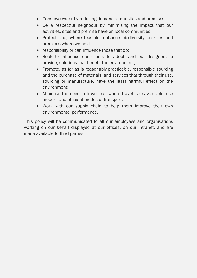- Conserve water by reducing demand at our sites and premises;
- Be a respectful neighbour by minimising the impact that our activities, sites and premise have on local communities;
- Protect and, where feasible, enhance biodiversity on sites and premises where we hold
- responsibility or can influence those that do;
- Seek to influence our clients to adopt, and our designers to provide, solutions that benefit the environment;
- Promote, as far as is reasonably practicable, responsible sourcing and the purchase of materials and services that through their use, sourcing or manufacture, have the least harmful effect on the environment;
- Minimise the need to travel but, where travel is unavoidable, use modern and efficient modes of transport;
- Work with our supply chain to help them improve their own environmental performance.

This policy will be communicated to all our employees and organisations working on our behalf displayed at our offices, on our intranet, and are made available to third parties.